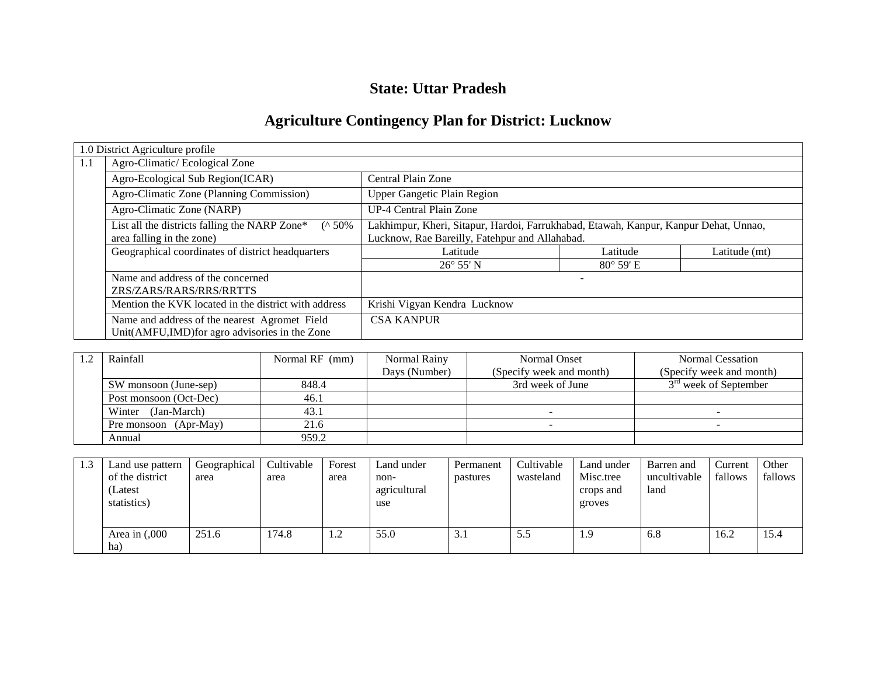## **State: Uttar Pradesh**

# **Agriculture Contingency Plan for District: Lucknow**

|     | 1.0 District Agriculture profile                                                                |                                                                                                                                        |                    |               |  |  |  |
|-----|-------------------------------------------------------------------------------------------------|----------------------------------------------------------------------------------------------------------------------------------------|--------------------|---------------|--|--|--|
| 1.1 | Agro-Climatic/Ecological Zone                                                                   |                                                                                                                                        |                    |               |  |  |  |
|     | Agro-Ecological Sub Region(ICAR)                                                                | Central Plain Zone                                                                                                                     |                    |               |  |  |  |
|     | Agro-Climatic Zone (Planning Commission)                                                        | <b>Upper Gangetic Plain Region</b>                                                                                                     |                    |               |  |  |  |
|     | Agro-Climatic Zone (NARP)                                                                       | UP-4 Central Plain Zone                                                                                                                |                    |               |  |  |  |
|     | List all the districts falling the NARP Zone*<br>$($ ^ 50%<br>area falling in the zone)         | Lakhimpur, Kheri, Sitapur, Hardoi, Farrukhabad, Etawah, Kanpur, Kanpur Dehat, Unnao,<br>Lucknow, Rae Bareilly, Fatehpur and Allahabad. |                    |               |  |  |  |
|     | Geographical coordinates of district headquarters                                               | Latitude                                                                                                                               | Latitude           | Latitude (mt) |  |  |  |
|     |                                                                                                 | $26^{\circ} 55' N$                                                                                                                     | $80^{\circ}$ 59' E |               |  |  |  |
|     | Name and address of the concerned<br>ZRS/ZARS/RARS/RRS/RRTTS                                    |                                                                                                                                        |                    |               |  |  |  |
|     | Mention the KVK located in the district with address                                            | Krishi Vigyan Kendra Lucknow                                                                                                           |                    |               |  |  |  |
|     | Name and address of the nearest Agromet Field<br>Unit(AMFU,IMD) for agro advisories in the Zone | <b>CSA KANPUR</b>                                                                                                                      |                    |               |  |  |  |

| Rainfall               | Normal RF (mm) | Normal Rainy  | Normal Onset             | Normal Cessation                  |
|------------------------|----------------|---------------|--------------------------|-----------------------------------|
|                        |                | Days (Number) | (Specify week and month) | (Specify week and month)          |
| SW monsoon (June-sep)  | 848.4          |               | 3rd week of June         | 3 <sup>rd</sup> week of September |
| Post monsoon (Oct-Dec) | 46.1           |               |                          |                                   |
| Winter (Jan-March)     | 43.1           |               |                          |                                   |
| Pre monsoon (Apr-May)  | 21.6           |               |                          |                                   |
| Annual                 | 959.2          |               |                          |                                   |

| 1.3 | Land use pattern  | Geographical | Cultivable | Forest             | Land under   | Permanent | Cultivable | Land under | Barren and   | Current | Other   |
|-----|-------------------|--------------|------------|--------------------|--------------|-----------|------------|------------|--------------|---------|---------|
|     | of the district   | area         | area       | area               | non-         | pastures  | wasteland  | Misc.tree  | uncultivable | fallows | fallows |
|     | (Latest           |              |            |                    | agricultural |           |            | crops and  | land         |         |         |
|     | statistics)       |              |            |                    | use          |           |            | groves     |              |         |         |
|     |                   |              |            |                    |              |           |            |            |              |         |         |
|     | Area in $(0.000)$ | 251.6        | 74.8       | $\mathcal{D}$<br>. | 55.0         | 3.1       | 5.5        |            | 6.8          | 16.2    | 15.4    |
|     | ha)               |              |            |                    |              |           |            |            |              |         |         |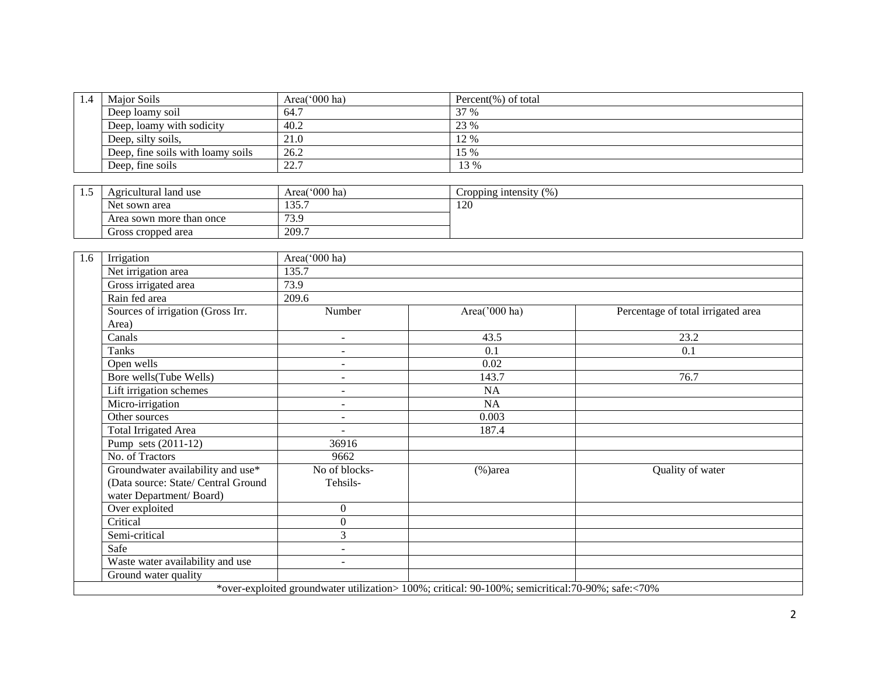| 1.4 | <b>Maior Soils</b>                | Area( $000$ ha) | Percent $(\%)$ of total |
|-----|-----------------------------------|-----------------|-------------------------|
|     | Deep loamy soil                   | 64.7            | 37 %                    |
|     | Deep, loamy with sodicity         | 40.2            | 23 %                    |
|     | Deep, silty soils,                | 21.0            | 12 %                    |
|     | Deep, fine soils with loamy soils | 26.2            | 15 %                    |
|     | Deep, fine soils                  | 22.7            | 13 %                    |

| سد | Agricultural land use    | Area('000 ha)               | (%<br>Cropping intensity |
|----|--------------------------|-----------------------------|--------------------------|
|    | Net sown area            | 125 <sup>o</sup><br>1 J J . | 120                      |
|    | Area sown more than once | $\sim$ $\sim$<br>ر، ب       |                          |
|    | Gross cropped area       | 209.7                       |                          |

| Irrigation                          | Area('000 ha)            |               |                                    |
|-------------------------------------|--------------------------|---------------|------------------------------------|
| Net irrigation area                 | 135.7                    |               |                                    |
| Gross irrigated area                | 73.9                     |               |                                    |
| Rain fed area                       | 209.6                    |               |                                    |
| Sources of irrigation (Gross Irr.   | Number                   | Area('000 ha) | Percentage of total irrigated area |
| Area)                               |                          |               |                                    |
| Canals                              | $\sim$                   | 43.5          | 23.2                               |
| Tanks                               | $\blacksquare$           | 0.1           | 0.1                                |
| Open wells                          | $\blacksquare$           | 0.02          |                                    |
| Bore wells(Tube Wells)              | $\overline{\phantom{a}}$ | 143.7         | 76.7                               |
| Lift irrigation schemes             | $\blacksquare$           | <b>NA</b>     |                                    |
| Micro-irrigation                    | $\overline{\phantom{m}}$ | <b>NA</b>     |                                    |
| Other sources                       | $\blacksquare$           | 0.003         |                                    |
| <b>Total Irrigated Area</b>         | $\overline{\phantom{a}}$ | 187.4         |                                    |
| Pump sets $(2011-12)$               | 36916                    |               |                                    |
| No. of Tractors                     | 9662                     |               |                                    |
| Groundwater availability and use*   | No of blocks-            | $(\% )$ area  | Quality of water                   |
| (Data source: State/ Central Ground | Tehsils-                 |               |                                    |
| water Department/Board)             |                          |               |                                    |
| Over exploited                      | $\overline{0}$           |               |                                    |
| Critical                            | $\Omega$                 |               |                                    |
| Semi-critical                       | 3                        |               |                                    |
| Safe                                | $\overline{\phantom{a}}$ |               |                                    |
| Waste water availability and use    | $\blacksquare$           |               |                                    |
| Ground water quality                |                          |               |                                    |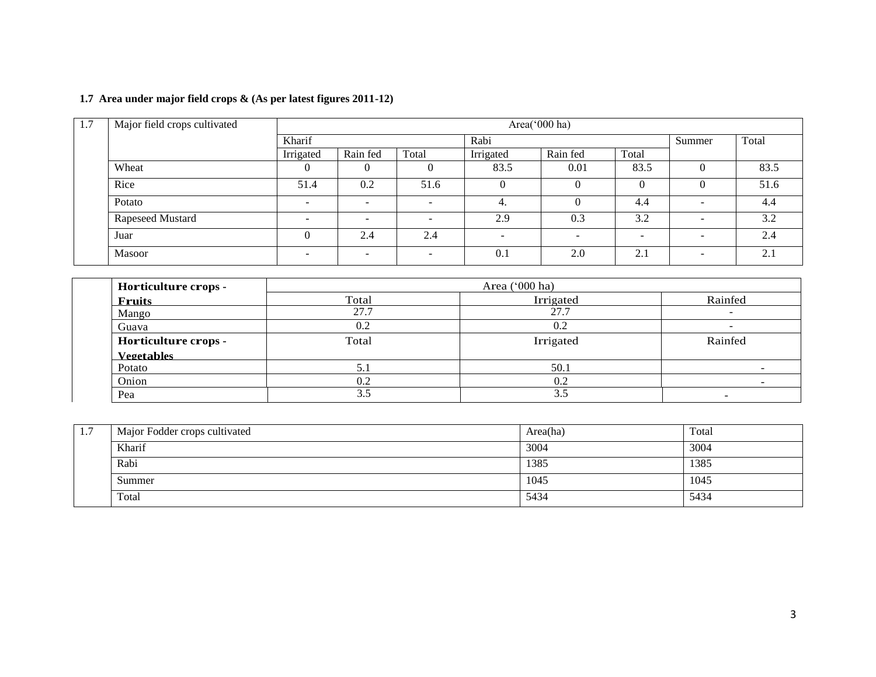## **1.7 Area under major field crops & (As per latest figures 2011-12)**

| 1.7 | Major field crops cultivated | Area('000 ha) |          |                          |           |          |                          |                          |       |
|-----|------------------------------|---------------|----------|--------------------------|-----------|----------|--------------------------|--------------------------|-------|
|     |                              | Kharif        |          |                          | Rabi      |          |                          | Summer                   | Total |
|     |                              | Irrigated     | Rain fed | Total                    | Irrigated | Rain fed | Total                    |                          |       |
|     | Wheat                        |               | $\Omega$ | $\theta$                 | 83.5      | 0.01     | 83.5                     |                          | 83.5  |
|     | Rice                         | 51.4          | 0.2      | 51.6                     | 0         | $\theta$ |                          |                          | 51.6  |
|     | Potato                       |               |          | $\overline{\phantom{a}}$ | 4.        |          | 4.4                      | $\sim$                   | 4.4   |
|     | Rapeseed Mustard             |               |          |                          | 2.9       | 0.3      | 3.2                      | $\overline{\phantom{a}}$ | 3.2   |
|     | Juar                         |               | 2.4      | 2.4                      |           | <b>1</b> | $\overline{\phantom{a}}$ | $\overline{\phantom{0}}$ | 2.4   |
|     | Masoor                       |               |          | $\overline{\phantom{0}}$ | 0.1       | 2.0      | 2.1                      | -                        | 2.1   |

| Horticulture crops - |       | Area ('000 ha) |         |
|----------------------|-------|----------------|---------|
| <b>Fruits</b>        | Total | Irrigated      | Rainfed |
| Mango                | 27.7  | 27.7           |         |
| Guava                | 0.2   | 0.2            |         |
| Horticulture crops - | Total | Irrigated      | Rainfed |
| <b>Vegetables</b>    |       |                |         |
| Potato               | 5.1   | 50.1           |         |
| Onion                | 0.2   | 0.2            |         |
| Pea                  | 3.5   | 3.5            |         |

| 1.7 | Major Fodder crops cultivated | Area(ha) | Total |
|-----|-------------------------------|----------|-------|
|     | Kharif                        | 3004     | 3004  |
|     | Rabi                          | 1385     | 1385  |
|     | Summer                        | 1045     | 1045  |
|     | Total                         | 5434     | 5434  |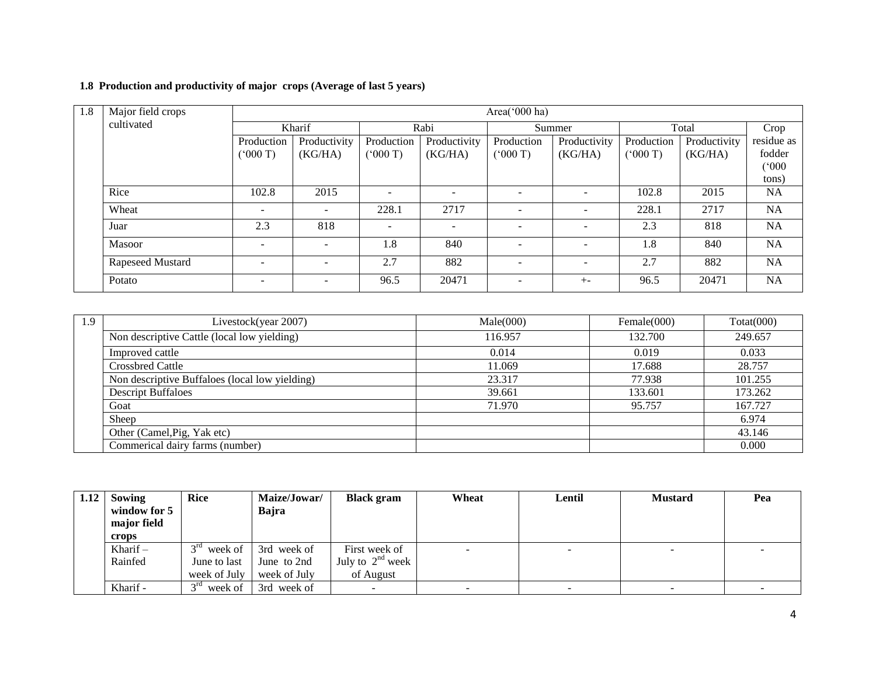## **1.8 Production and productivity of major crops (Average of last 5 years)**

| 1.8 | Area('000 ha)<br>Major field crops |                          |                          |                          |              |                          |                          |            |              |            |  |
|-----|------------------------------------|--------------------------|--------------------------|--------------------------|--------------|--------------------------|--------------------------|------------|--------------|------------|--|
|     | cultivated                         |                          | Kharif                   |                          | Rabi         |                          | Summer                   |            | Total        | Crop       |  |
|     |                                    | Production               | Productivity             | Production               | Productivity | Production               | Productivity             | Production | Productivity | residue as |  |
|     |                                    | (5000T)                  | (KG/HA)                  | (5000T)                  | (KG/HA)      | (7000)                   | (KG/HA)                  | (000T)     | (KG/HA)      | fodder     |  |
|     |                                    |                          |                          |                          |              |                          |                          |            |              | (000)      |  |
|     |                                    |                          |                          |                          |              |                          |                          |            |              | tons)      |  |
|     | Rice                               | 102.8                    | 2015                     | $\overline{\phantom{a}}$ |              |                          | $\overline{\phantom{a}}$ | 102.8      | 2015         | <b>NA</b>  |  |
|     | Wheat                              | $\blacksquare$           | $\overline{\phantom{0}}$ | 228.1                    | 2717         | $\overline{\phantom{a}}$ | $\sim$                   | 228.1      | 2717         | <b>NA</b>  |  |
|     | Juar                               | 2.3                      | 818                      | $\overline{\phantom{a}}$ |              |                          |                          | 2.3        | 818          | NA         |  |
|     | Masoor                             | ۰                        |                          | 1.8                      | 840          |                          | $\overline{\phantom{a}}$ | 1.8        | 840          | <b>NA</b>  |  |
|     | Rapeseed Mustard                   | $\overline{\phantom{0}}$ | -                        | 2.7                      | 882          | $\overline{\phantom{a}}$ | $\overline{\phantom{a}}$ | 2.7        | 882          | <b>NA</b>  |  |
|     | Potato                             | $\overline{\phantom{a}}$ | $\overline{\phantom{m}}$ | 96.5                     | 20471        | $\overline{\phantom{0}}$ | $+ -$                    | 96.5       | 20471        | <b>NA</b>  |  |

| 1.9 | Livestock(year 2007)                           | Male(000) | Female $(000)$ | Totat(000) |
|-----|------------------------------------------------|-----------|----------------|------------|
|     | Non descriptive Cattle (local low yielding)    | 116.957   | 132.700        | 249.657    |
|     | Improved cattle                                | 0.014     | 0.019          | 0.033      |
|     | <b>Crossbred Cattle</b>                        | 11.069    | 17.688         | 28.757     |
|     | Non descriptive Buffaloes (local low yielding) | 23.317    | 77.938         | 101.255    |
|     | <b>Descript Buffaloes</b>                      | 39.661    | 133.601        | 173.262    |
|     | Goat                                           | 71.970    | 95.757         | 167.727    |
|     | Sheep                                          |           |                | 6.974      |
|     | Other (Camel, Pig, Yak etc)                    |           |                | 43.146     |
|     | Commerical dairy farms (number)                |           |                | 0.000      |

| 1.12 | Sowing                      | <b>Rice</b>                | Maize/Jowar/ | <b>Black gram</b>     | Wheat                    | Lentil | <b>Mustard</b>           | Pea |
|------|-----------------------------|----------------------------|--------------|-----------------------|--------------------------|--------|--------------------------|-----|
|      | window for 5<br>major field |                            | Bajra        |                       |                          |        |                          |     |
|      |                             |                            |              |                       |                          |        |                          |     |
|      | crops                       |                            |              |                       |                          |        |                          |     |
|      | Kharif $-$                  | $3^{rd}$<br>week of        | 3rd week of  | First week of         | <b>COL</b>               |        | -                        |     |
|      | Rainfed                     | June to last               | June to 2nd  | July to $2^{nd}$ week |                          |        |                          |     |
|      |                             | week of July               | week of July | of August             |                          |        |                          |     |
|      | Kharif -                    | 3 <sup>rd</sup><br>week of | 3rd week of  |                       | $\overline{\phantom{0}}$ |        | $\overline{\phantom{0}}$ |     |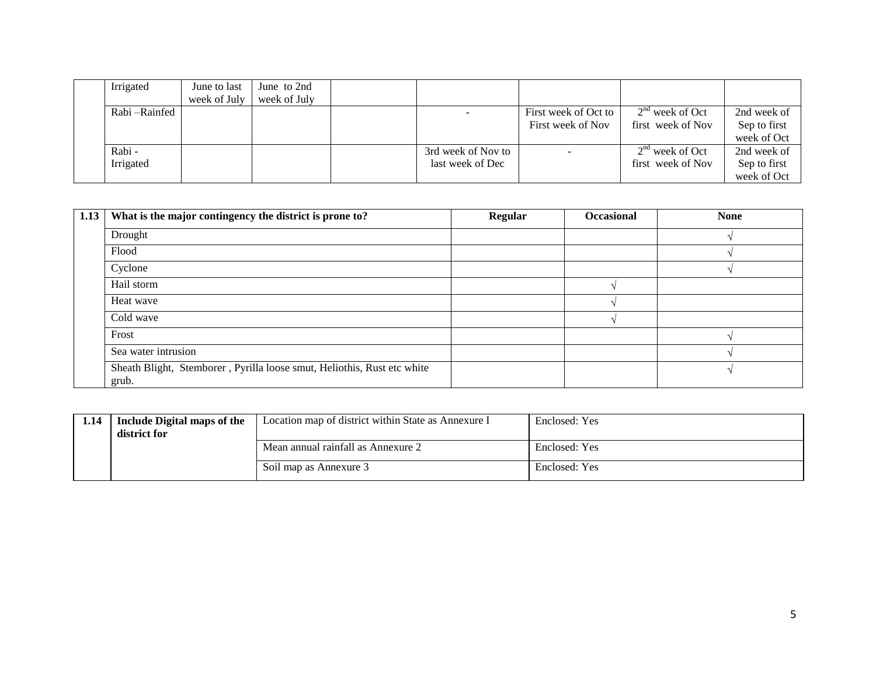| Irrigated      | June to last | June to 2nd  |                    |                      |                   |              |
|----------------|--------------|--------------|--------------------|----------------------|-------------------|--------------|
|                | week of July | week of July |                    |                      |                   |              |
| Rabi – Rainfed |              |              |                    | First week of Oct to | $2nd$ week of Oct | 2nd week of  |
|                |              |              |                    | First week of Nov    | first week of Nov | Sep to first |
|                |              |              |                    |                      |                   | week of Oct  |
| Rabi-          |              |              | 3rd week of Nov to |                      | $2nd$ week of Oct | 2nd week of  |
| Irrigated      |              |              | last week of Dec   |                      | first week of Nov | Sep to first |
|                |              |              |                    |                      |                   | week of Oct  |

| 1.13 | What is the major contingency the district is prone to?                          | <b>Regular</b> | Occasional | <b>None</b> |
|------|----------------------------------------------------------------------------------|----------------|------------|-------------|
|      | Drought                                                                          |                |            |             |
|      | Flood                                                                            |                |            |             |
|      | Cyclone                                                                          |                |            |             |
|      | Hail storm                                                                       |                |            |             |
|      | Heat wave                                                                        |                |            |             |
|      | Cold wave                                                                        |                |            |             |
|      | Frost                                                                            |                |            |             |
|      | Sea water intrusion                                                              |                |            |             |
|      | Sheath Blight, Stemborer, Pyrilla loose smut, Heliothis, Rust etc white<br>grub. |                |            |             |

| 1.14 | <b>Include Digital maps of the</b><br>district for | Location map of district within State as Annexure I | Enclosed: Yes |
|------|----------------------------------------------------|-----------------------------------------------------|---------------|
|      |                                                    | Mean annual rainfall as Annexure 2                  | Enclosed: Yes |
|      |                                                    | Soil map as Annexure 3                              | Enclosed: Yes |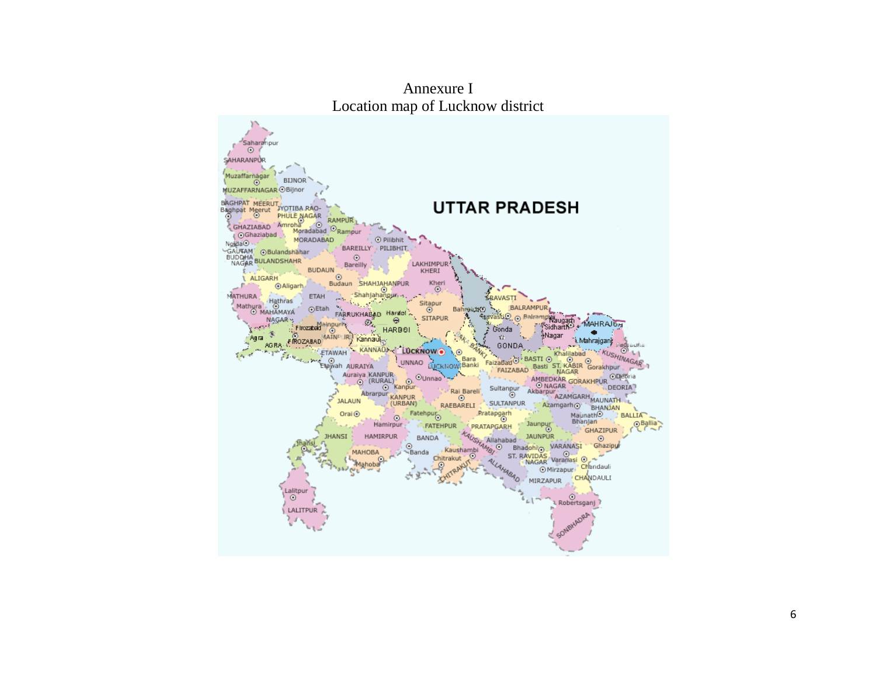

Annexure I Location map of Lucknow district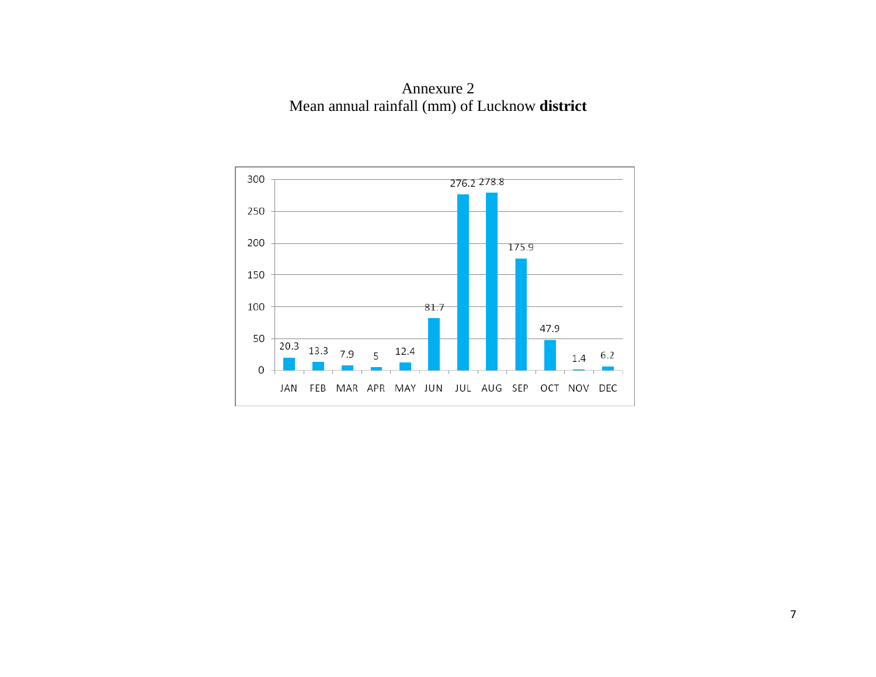Annexure 2 Mean annual rainfall (mm) of Lucknow **district**

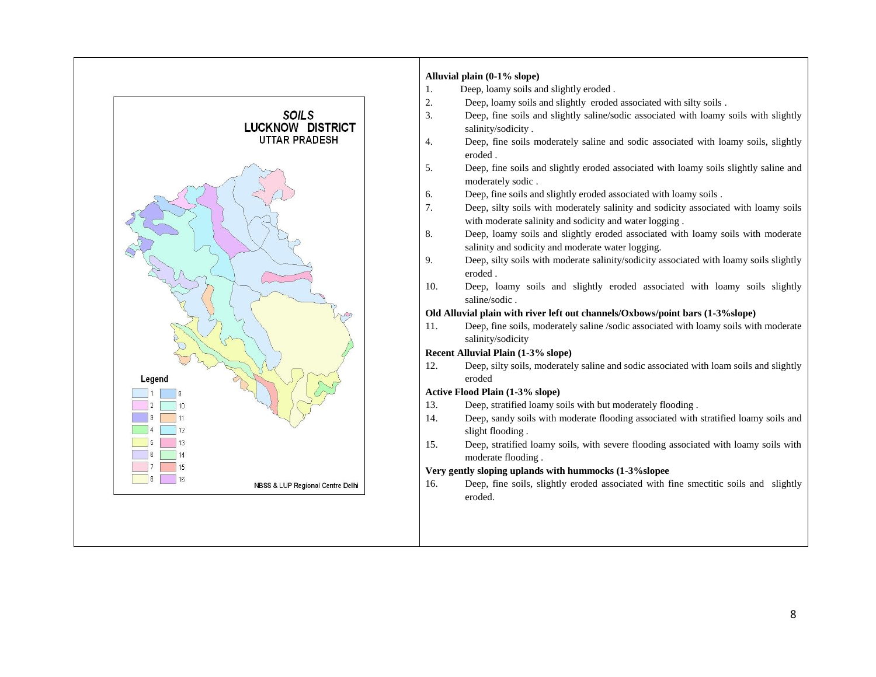

#### **Alluvial plain (0-1% slope)**

- 1. Deep, loamy soils and slightly eroded .
- 2. Deep, loamy soils and slightly eroded associated with silty soils .
- 3. Deep, fine soils and slightly saline/sodic associated with loamy soils with slightly salinity/sodicity .
- 4. Deep, fine soils moderately saline and sodic associated with loamy soils, slightly eroded .
- 5. Deep, fine soils and slightly eroded associated with loamy soils slightly saline and moderately sodic .
- 6. Deep, fine soils and slightly eroded associated with loamy soils .
- 7. Deep, silty soils with moderately salinity and sodicity associated with loamy soils with moderate salinity and sodicity and water logging.
- 8. Deep, loamy soils and slightly eroded associated with loamy soils with moderate salinity and sodicity and moderate water logging.
- 9. Deep, silty soils with moderate salinity/sodicity associated with loamy soils slightly eroded .
- 10. Deep, loamy soils and slightly eroded associated with loamy soils slightly saline/sodic .

#### **Old Alluvial plain with river left out channels/Oxbows/point bars (1-3%slope)**

11. Deep, fine soils, moderately saline /sodic associated with loamy soils with moderate salinity/sodicity

#### **Recent Alluvial Plain (1-3% slope)**

12. Deep, silty soils, moderately saline and sodic associated with loam soils and slightly eroded

#### **Active Flood Plain (1-3% slope)**

- 13. Deep, stratified loamy soils with but moderately flooding .
- 14. Deep, sandy soils with moderate flooding associated with stratified loamy soils and slight flooding .
- 15. Deep, stratified loamy soils, with severe flooding associated with loamy soils with moderate flooding .

#### **Very gently sloping uplands with hummocks (1-3%slopee**

16. Deep, fine soils, slightly eroded associated with fine smectitic soils and slightly eroded.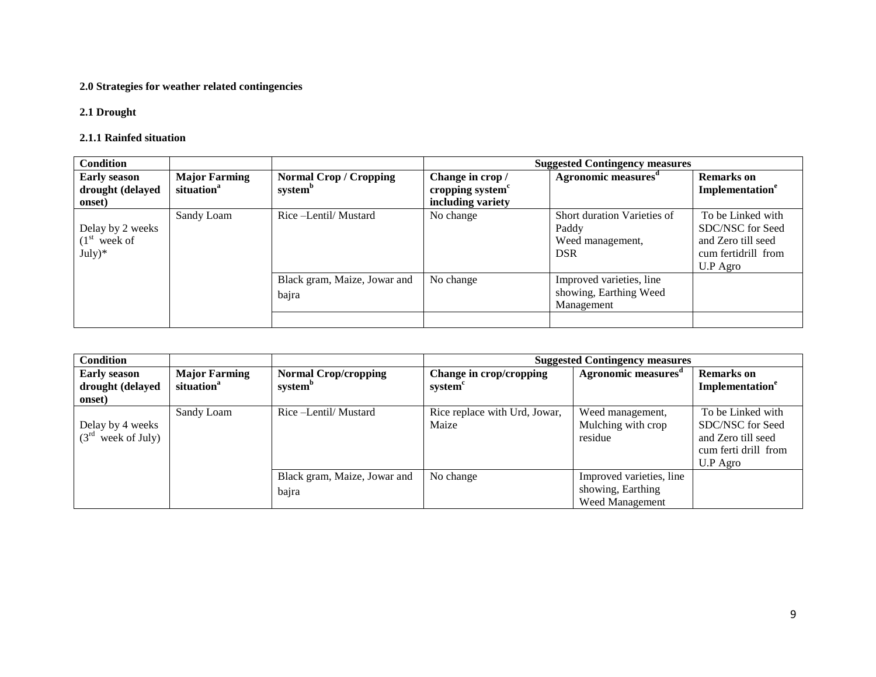## **2.0 Strategies for weather related contingencies**

#### **2.1 Drought**

#### **2.1.1 Rainfed situation**

| <b>Condition</b>           |                                                |                                                      | <b>Suggested Contingency measures</b>            |                                 |                                    |  |
|----------------------------|------------------------------------------------|------------------------------------------------------|--------------------------------------------------|---------------------------------|------------------------------------|--|
| <b>Early season</b>        | <b>Major Farming</b><br>situation <sup>a</sup> | <b>Normal Crop / Cropping</b><br>system <sup>b</sup> | Change in crop /<br>cropping system <sup>c</sup> | Agronomic measures <sup>a</sup> | <b>Remarks</b> on                  |  |
| drought (delayed<br>onset) |                                                |                                                      | including variety                                |                                 | <b>Implementation</b> <sup>e</sup> |  |
|                            | Sandy Loam                                     | Rice -Lentil/ Mustard                                | No change                                        | Short duration Varieties of     | To be Linked with                  |  |
| Delay by 2 weeks           |                                                |                                                      |                                                  | Paddy                           | SDC/NSC for Seed                   |  |
| $(1st$ week of             |                                                |                                                      |                                                  | Weed management,                | and Zero till seed                 |  |
| $July)*$                   |                                                |                                                      |                                                  | <b>DSR</b>                      | cum fertidrill from                |  |
|                            |                                                |                                                      |                                                  |                                 | U.P Agro                           |  |
|                            |                                                | Black gram, Maize, Jowar and                         | No change                                        | Improved varieties, line        |                                    |  |
|                            |                                                | bajra                                                |                                                  | showing, Earthing Weed          |                                    |  |
|                            |                                                |                                                      |                                                  | Management                      |                                    |  |
|                            |                                                |                                                      |                                                  |                                 |                                    |  |

| <b>Condition</b>                                  |                                                |                                                    | <b>Suggested Contingency measures</b>          |                                                                  |                                                                                                 |  |
|---------------------------------------------------|------------------------------------------------|----------------------------------------------------|------------------------------------------------|------------------------------------------------------------------|-------------------------------------------------------------------------------------------------|--|
| <b>Early season</b><br>drought (delayed<br>onset) | <b>Major Farming</b><br>situation <sup>a</sup> | <b>Normal Crop/cropping</b><br>system <sup>b</sup> | Change in crop/cropping<br>system <sup>c</sup> | Agronomic measures <sup>"</sup>                                  | <b>Remarks</b> on<br>Implementation <sup>e</sup>                                                |  |
| Delay by 4 weeks<br>$(3^{rd}$<br>week of July)    | Sandy Loam                                     | Rice – Lentil/ Mustard                             | Rice replace with Urd, Jowar,<br>Maize         | Weed management,<br>Mulching with crop<br>residue                | To be Linked with<br>SDC/NSC for Seed<br>and Zero till seed<br>cum ferti drill from<br>U.P Agro |  |
|                                                   |                                                | Black gram, Maize, Jowar and<br>bajra              | No change                                      | Improved varieties, line<br>showing, Earthing<br>Weed Management |                                                                                                 |  |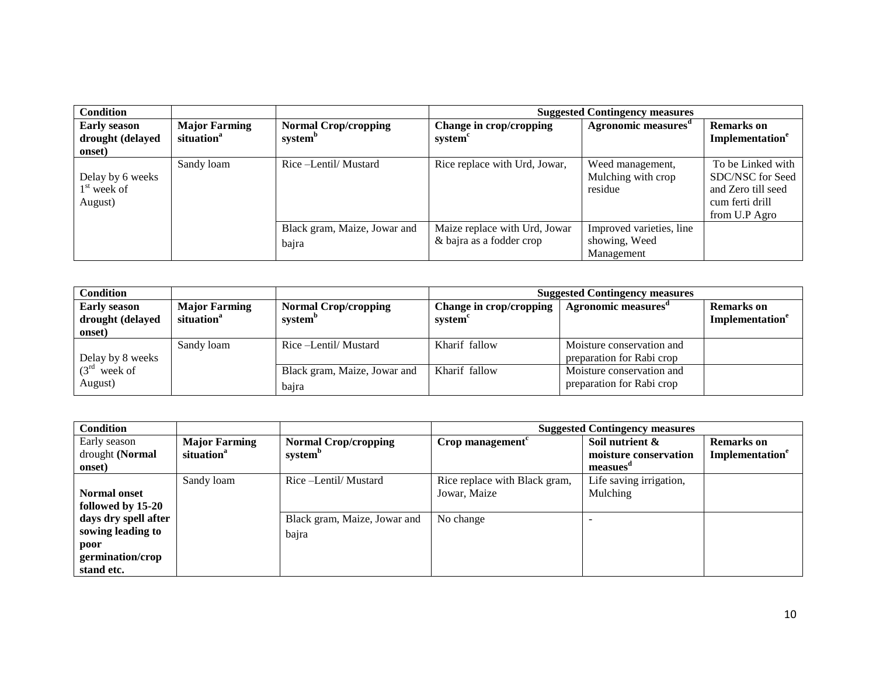| <b>Condition</b>                                  |                                                |                                                    | <b>Suggested Contingency measures</b>                     |                                                         |                                                                                                 |  |
|---------------------------------------------------|------------------------------------------------|----------------------------------------------------|-----------------------------------------------------------|---------------------------------------------------------|-------------------------------------------------------------------------------------------------|--|
| <b>Early season</b><br>drought (delayed<br>onset) | <b>Major Farming</b><br>situation <sup>a</sup> | <b>Normal Crop/cropping</b><br>system <sup>b</sup> | Change in crop/cropping<br>system                         | Agronomic measures <sup>a</sup>                         | <b>Remarks</b> on<br>Implementation <sup>e</sup>                                                |  |
| Delay by 6 weeks<br>$1st$ week of<br>August)      | Sandy loam                                     | Rice –Lentil/Mustard                               | Rice replace with Urd, Jowar,                             | Weed management,<br>Mulching with crop<br>residue       | To be Linked with<br>SDC/NSC for Seed<br>and Zero till seed<br>cum ferti drill<br>from U.P Agro |  |
|                                                   |                                                | Black gram, Maize, Jowar and<br>bajra              | Maize replace with Urd, Jowar<br>& bajra as a fodder crop | Improved varieties, line<br>showing, Weed<br>Management |                                                                                                 |  |

| Condition                                         |                                                |                                                    | <b>Suggested Contingency measures</b> |                                                        |                                                  |  |
|---------------------------------------------------|------------------------------------------------|----------------------------------------------------|---------------------------------------|--------------------------------------------------------|--------------------------------------------------|--|
| <b>Early season</b><br>drought (delayed<br>onset) | <b>Major Farming</b><br>situation <sup>a</sup> | <b>Normal Crop/cropping</b><br>system <sup>"</sup> | Change in crop/cropping<br>system     | Agronomic measures                                     | <b>Remarks</b> on<br>Implementation <sup>e</sup> |  |
| Delay by 8 weeks                                  | Sandy loam                                     | Rice –Lentil/Mustard                               | Kharif fallow                         | Moisture conservation and<br>preparation for Rabi crop |                                                  |  |
| $(3rd$ week of<br>August)                         |                                                | Black gram, Maize, Jowar and<br>bajra              | Kharif fallow                         | Moisture conservation and<br>preparation for Rabi crop |                                                  |  |

| <b>Condition</b>     |                        |                              | <b>Suggested Contingency measures</b>       |                         |                             |  |
|----------------------|------------------------|------------------------------|---------------------------------------------|-------------------------|-----------------------------|--|
| Early season         | <b>Major Farming</b>   | <b>Normal Crop/cropping</b>  | $Crop$ management <sup><math>c</math></sup> | Soil nutrient &         | <b>Remarks</b> on           |  |
| drought (Normal      | situation <sup>a</sup> | system <sup>b</sup>          |                                             | moisture conservation   | Implementation <sup>e</sup> |  |
| onset)               |                        |                              |                                             | measues                 |                             |  |
|                      | Sandy loam             | Rice –Lentil/Mustard         | Rice replace with Black gram,               | Life saving irrigation, |                             |  |
| <b>Normal onset</b>  |                        |                              | Jowar, Maize                                | Mulching                |                             |  |
| followed by 15-20    |                        |                              |                                             |                         |                             |  |
| days dry spell after |                        | Black gram, Maize, Jowar and | No change                                   |                         |                             |  |
| sowing leading to    |                        | bajra                        |                                             |                         |                             |  |
| poor                 |                        |                              |                                             |                         |                             |  |
| germination/crop     |                        |                              |                                             |                         |                             |  |
| stand etc.           |                        |                              |                                             |                         |                             |  |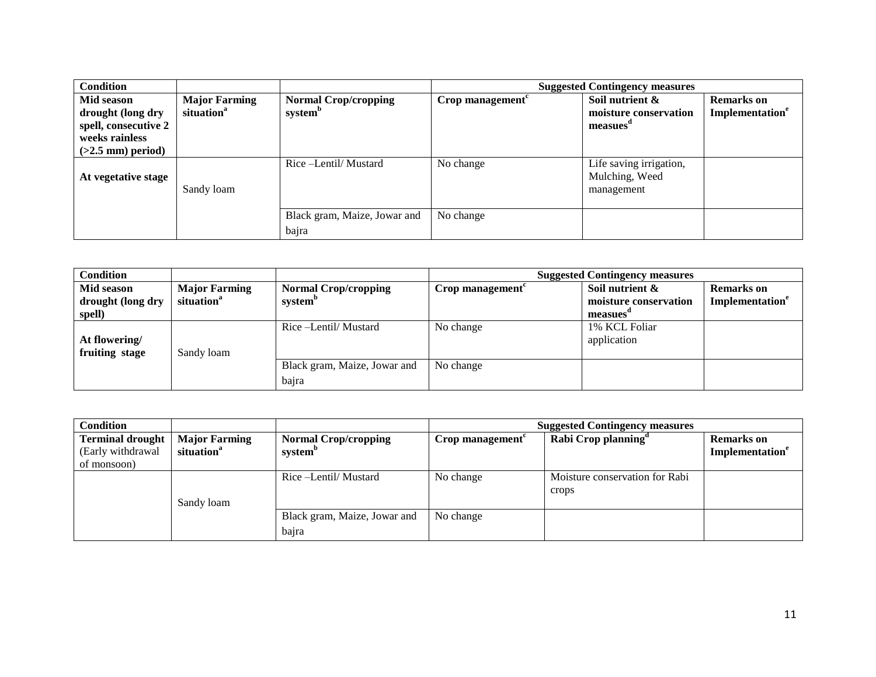| <b>Condition</b>                                                                                 |                                                |                                                    | <b>Suggested Contingency measures</b> |                                                                  |                                                  |  |
|--------------------------------------------------------------------------------------------------|------------------------------------------------|----------------------------------------------------|---------------------------------------|------------------------------------------------------------------|--------------------------------------------------|--|
| Mid season<br>drought (long dry<br>spell, consecutive 2<br>weeks rainless<br>$(>2.5$ mm) period) | <b>Major Farming</b><br>situation <sup>a</sup> | <b>Normal Crop/cropping</b><br>system <sup>b</sup> | Crop management <sup>c</sup>          | Soil nutrient &<br>moisture conservation<br>measues <sup>d</sup> | <b>Remarks</b> on<br>Implementation <sup>e</sup> |  |
| At vegetative stage                                                                              | Sandy loam                                     | Rice -Lentil/ Mustard                              | No change                             | Life saving irrigation,<br>Mulching, Weed<br>management          |                                                  |  |
|                                                                                                  |                                                | Black gram, Maize, Jowar and<br>bajra              | No change                             |                                                                  |                                                  |  |

| <b>Condition</b>                          |                                                |                                                    | <b>Suggested Contingency measures</b> |                                                     |                                                  |  |
|-------------------------------------------|------------------------------------------------|----------------------------------------------------|---------------------------------------|-----------------------------------------------------|--------------------------------------------------|--|
| Mid season<br>drought (long dry<br>spell) | <b>Major Farming</b><br>situation <sup>a</sup> | <b>Normal Crop/cropping</b><br>system <sup>b</sup> | Crop management $\epsilon$            | Soil nutrient &<br>moisture conservation<br>measues | <b>Remarks</b> on<br>Implementation <sup>e</sup> |  |
| At flowering/<br>fruiting stage           | Sandy loam                                     | Rice –Lentil/Mustard                               | No change                             | 1% KCL Foliar<br>application                        |                                                  |  |
|                                           |                                                | Black gram, Maize, Jowar and<br>bajra              | No change                             |                                                     |                                                  |  |

| <b>Condition</b>                                            |                                                |                                                    | <b>Suggested Contingency measures</b> |                                         |                                            |
|-------------------------------------------------------------|------------------------------------------------|----------------------------------------------------|---------------------------------------|-----------------------------------------|--------------------------------------------|
| <b>Terminal drought</b><br>(Early withdrawal<br>of monsoon) | <b>Major Farming</b><br>situation <sup>a</sup> | <b>Normal Crop/cropping</b><br>system <sup>b</sup> | Crop management $\epsilon$            | Rabi Crop planning <sup>d</sup>         | <b>Remarks</b> on<br><b>Implementation</b> |
|                                                             | Sandy loam                                     | Rice –Lentil/Mustard                               | No change                             | Moisture conservation for Rabi<br>crops |                                            |
|                                                             |                                                | Black gram, Maize, Jowar and<br>bajra              | No change                             |                                         |                                            |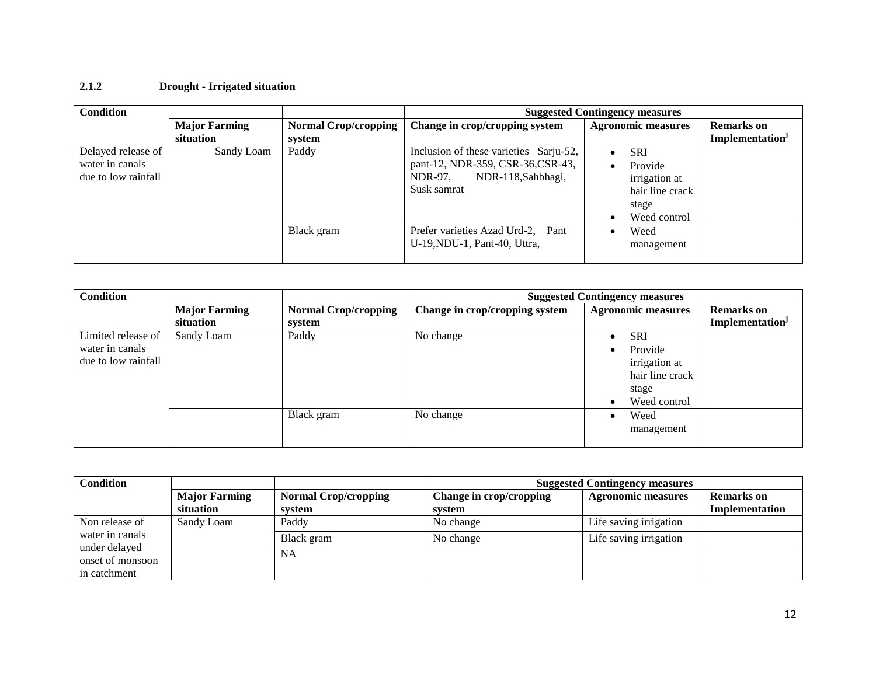#### **2.1.2 Drought - Irrigated situation**

| <b>Condition</b>                                             |                      |                             | <b>Suggested Contingency measures</b>                                                                                       |                                                                                              |                             |
|--------------------------------------------------------------|----------------------|-----------------------------|-----------------------------------------------------------------------------------------------------------------------------|----------------------------------------------------------------------------------------------|-----------------------------|
|                                                              | <b>Major Farming</b> | <b>Normal Crop/cropping</b> | Change in crop/cropping system                                                                                              | <b>Agronomic measures</b>                                                                    | <b>Remarks</b> on           |
|                                                              | situation            | system                      |                                                                                                                             |                                                                                              | Implementation <sup>J</sup> |
| Delayed release of<br>water in canals<br>due to low rainfall | Sandy Loam           | Paddy                       | Inclusion of these varieties Sarju-52,<br>pant-12, NDR-359, CSR-36, CSR-43,<br>NDR-97,<br>NDR-118, Sahbhagi,<br>Susk samrat | <b>SRI</b><br>$\bullet$<br>Provide<br>$\bullet$<br>irrigation at<br>hair line crack<br>stage |                             |
|                                                              |                      |                             |                                                                                                                             | Weed control                                                                                 |                             |
|                                                              |                      | Black gram                  | Prefer varieties Azad Urd-2, Pant<br>U-19, NDU-1, Pant-40, Uttra,                                                           | Weed<br>$\bullet$<br>management                                                              |                             |

| <b>Condition</b>    |                      |                             |                                | <b>Suggested Contingency measures</b> |                             |  |
|---------------------|----------------------|-----------------------------|--------------------------------|---------------------------------------|-----------------------------|--|
|                     | <b>Major Farming</b> | <b>Normal Crop/cropping</b> | Change in crop/cropping system | <b>Agronomic measures</b>             | <b>Remarks</b> on           |  |
|                     | situation            | system                      |                                |                                       | Implementation <sup>J</sup> |  |
| Limited release of  | Sandy Loam           | Paddy                       | No change                      | <b>SRI</b>                            |                             |  |
| water in canals     |                      |                             |                                | Provide<br>$\bullet$                  |                             |  |
| due to low rainfall |                      |                             |                                | irrigation at                         |                             |  |
|                     |                      |                             |                                | hair line crack                       |                             |  |
|                     |                      |                             |                                | stage                                 |                             |  |
|                     |                      |                             |                                | Weed control<br>$\bullet$             |                             |  |
|                     |                      | Black gram                  | No change                      | Weed                                  |                             |  |
|                     |                      |                             |                                | management                            |                             |  |
|                     |                      |                             |                                |                                       |                             |  |

| Condition                         |                      |                             | <b>Suggested Contingency measures</b> |                           |                   |
|-----------------------------------|----------------------|-----------------------------|---------------------------------------|---------------------------|-------------------|
|                                   | <b>Major Farming</b> | <b>Normal Crop/cropping</b> | Change in crop/cropping               | <b>Agronomic measures</b> | <b>Remarks</b> on |
|                                   | situation            | svstem                      | system                                |                           | Implementation    |
| Non release of                    | Sandy Loam           | Paddy                       | No change                             | Life saving irrigation    |                   |
| water in canals                   |                      | Black gram                  | No change                             | Life saving irrigation    |                   |
| under delayed<br>onset of monsoon |                      | NA                          |                                       |                           |                   |
| in catchment                      |                      |                             |                                       |                           |                   |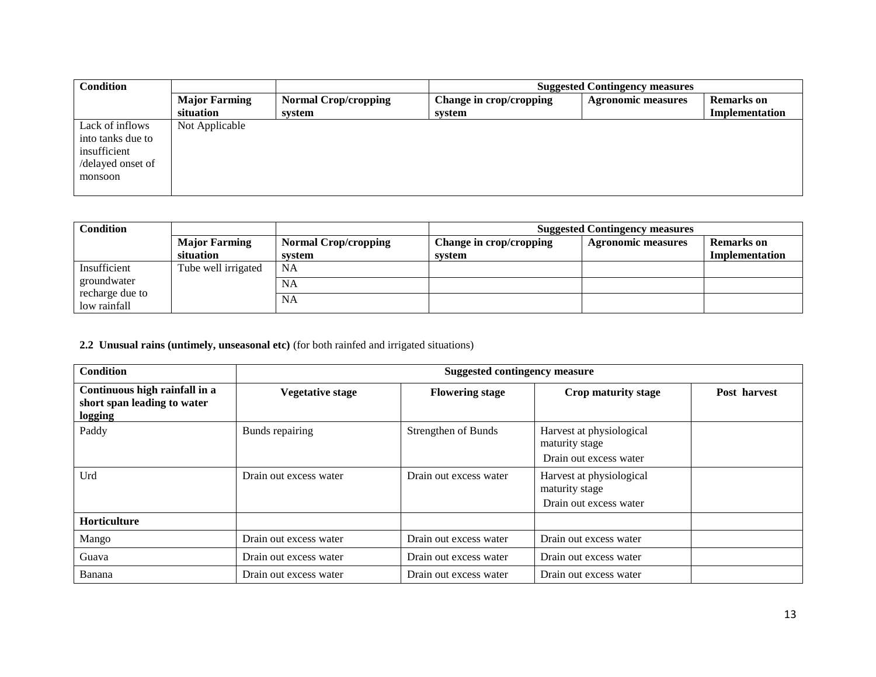| <b>Condition</b>  |                      |                             |                         | <b>Suggested Contingency measures</b> |                   |  |
|-------------------|----------------------|-----------------------------|-------------------------|---------------------------------------|-------------------|--|
|                   | <b>Major Farming</b> | <b>Normal Crop/cropping</b> | Change in crop/cropping | <b>Agronomic measures</b>             | <b>Remarks</b> on |  |
|                   | situation            | system                      | system                  |                                       | Implementation    |  |
| Lack of inflows   | Not Applicable       |                             |                         |                                       |                   |  |
| into tanks due to |                      |                             |                         |                                       |                   |  |
| insufficient      |                      |                             |                         |                                       |                   |  |
| /delayed onset of |                      |                             |                         |                                       |                   |  |
| monsoon           |                      |                             |                         |                                       |                   |  |
|                   |                      |                             |                         |                                       |                   |  |

| <b>Condition</b>                |                      |                             | <b>Suggested Contingency measures</b> |                           |                       |
|---------------------------------|----------------------|-----------------------------|---------------------------------------|---------------------------|-----------------------|
|                                 | <b>Major Farming</b> | <b>Normal Crop/cropping</b> | Change in crop/cropping               | <b>Agronomic measures</b> | <b>Remarks</b> on     |
|                                 | situation            | system                      | system                                |                           | <b>Implementation</b> |
| Insufficient                    | Tube well irrigated  | <b>NA</b>                   |                                       |                           |                       |
| groundwater                     |                      | <b>NA</b>                   |                                       |                           |                       |
| recharge due to<br>low rainfall |                      | <b>NA</b>                   |                                       |                           |                       |

## **2.2 Unusual rains (untimely, unseasonal etc)** (for both rainfed and irrigated situations)

| <b>Condition</b>                                                        | <b>Suggested contingency measure</b> |                        |                                                                      |              |
|-------------------------------------------------------------------------|--------------------------------------|------------------------|----------------------------------------------------------------------|--------------|
| Continuous high rainfall in a<br>short span leading to water<br>logging | <b>Vegetative stage</b>              | <b>Flowering stage</b> | Crop maturity stage                                                  | Post harvest |
| Paddy                                                                   | Bunds repairing                      | Strengthen of Bunds    | Harvest at physiological<br>maturity stage<br>Drain out excess water |              |
| Urd                                                                     | Drain out excess water               | Drain out excess water | Harvest at physiological<br>maturity stage<br>Drain out excess water |              |
| Horticulture                                                            |                                      |                        |                                                                      |              |
| Mango                                                                   | Drain out excess water               | Drain out excess water | Drain out excess water                                               |              |
| Guava                                                                   | Drain out excess water               | Drain out excess water | Drain out excess water                                               |              |
| Banana                                                                  | Drain out excess water               | Drain out excess water | Drain out excess water                                               |              |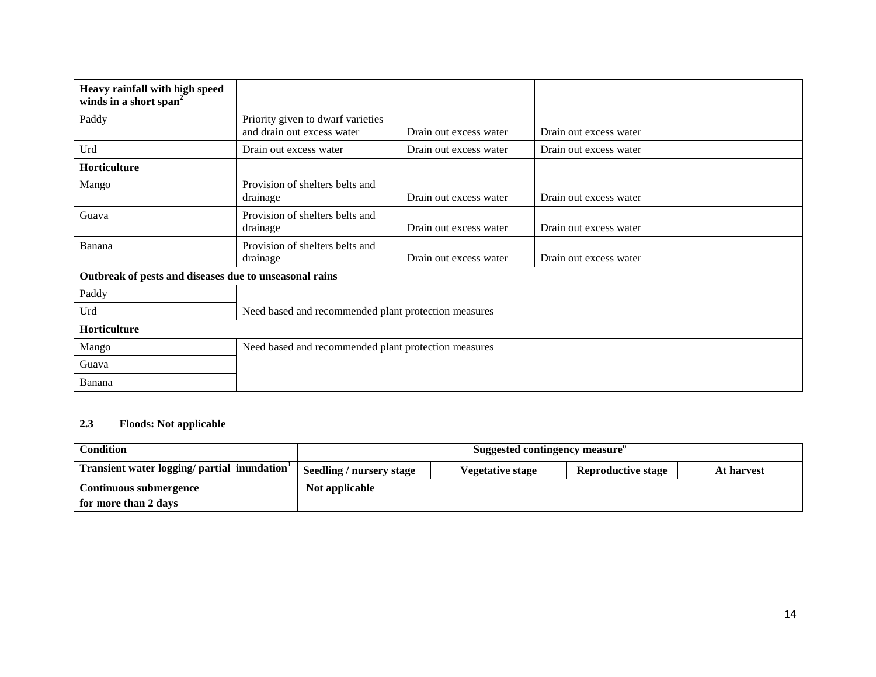| Heavy rainfall with high speed<br>winds in a short span <sup>2</sup> |                                                                 |                        |                        |  |
|----------------------------------------------------------------------|-----------------------------------------------------------------|------------------------|------------------------|--|
| Paddy                                                                | Priority given to dwarf varieties<br>and drain out excess water | Drain out excess water | Drain out excess water |  |
| Urd                                                                  | Drain out excess water                                          | Drain out excess water | Drain out excess water |  |
| <b>Horticulture</b>                                                  |                                                                 |                        |                        |  |
| Mango                                                                | Provision of shelters belts and<br>drainage                     | Drain out excess water | Drain out excess water |  |
| Guava                                                                | Provision of shelters belts and<br>drainage                     | Drain out excess water | Drain out excess water |  |
| Banana                                                               | Provision of shelters belts and<br>drainage                     | Drain out excess water | Drain out excess water |  |
| Outbreak of pests and diseases due to unseasonal rains               |                                                                 |                        |                        |  |
| Paddy                                                                |                                                                 |                        |                        |  |
| Urd                                                                  | Need based and recommended plant protection measures            |                        |                        |  |
| Horticulture                                                         |                                                                 |                        |                        |  |
| Mango                                                                | Need based and recommended plant protection measures            |                        |                        |  |
| Guava                                                                |                                                                 |                        |                        |  |
| Banana                                                               |                                                                 |                        |                        |  |

## **2.3 Floods: Not applicable**

| <b>Condition</b>                                         | Suggested contingency measure <sup>o</sup> |                         |                           |            |
|----------------------------------------------------------|--------------------------------------------|-------------------------|---------------------------|------------|
| Transient water logging/ partial inundation <sup>1</sup> | Seedling / nursery stage                   | <b>Vegetative stage</b> | <b>Reproductive stage</b> | At harvest |
| Continuous submergence<br>for more than 2 days           | Not applicable                             |                         |                           |            |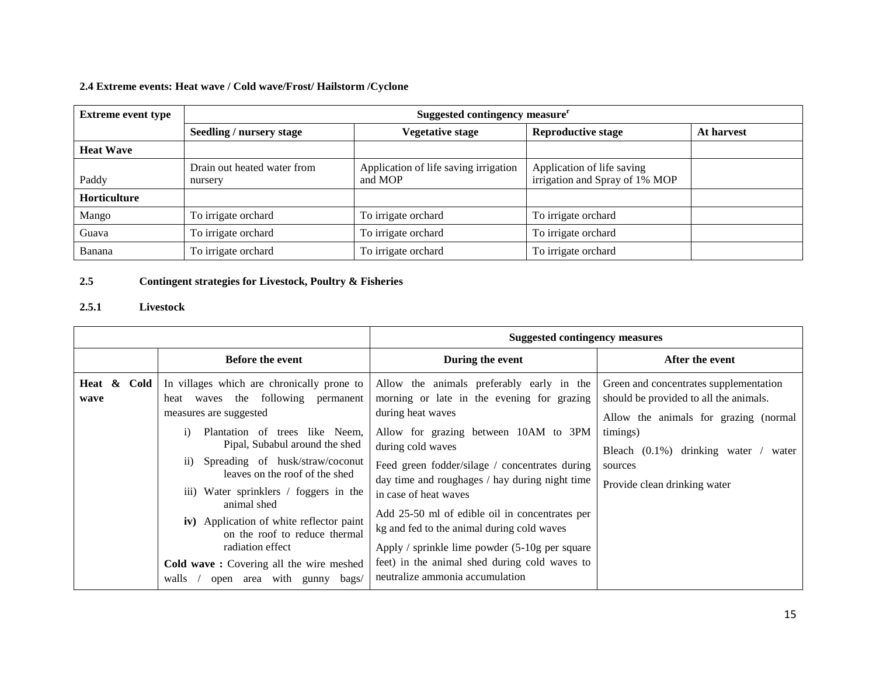## **2.4 Extreme events: Heat wave / Cold wave/Frost/ Hailstorm /Cyclone**

| <b>Extreme event type</b> | Suggested contingency measure <sup>r</sup> |                                                  |                                                              |            |  |
|---------------------------|--------------------------------------------|--------------------------------------------------|--------------------------------------------------------------|------------|--|
|                           | Seedling / nursery stage                   | <b>Vegetative stage</b>                          | <b>Reproductive stage</b>                                    | At harvest |  |
| <b>Heat Wave</b>          |                                            |                                                  |                                                              |            |  |
| Paddy                     | Drain out heated water from<br>nursery     | Application of life saving irrigation<br>and MOP | Application of life saving<br>irrigation and Spray of 1% MOP |            |  |
| <b>Horticulture</b>       |                                            |                                                  |                                                              |            |  |
| Mango                     | To irrigate orchard                        | To irrigate orchard                              | To irrigate orchard                                          |            |  |
| Guava                     | To irrigate orchard                        | To irrigate orchard                              | To irrigate orchard                                          |            |  |
| Banana                    | To irrigate orchard                        | To irrigate orchard                              | To irrigate orchard                                          |            |  |

## **2.5 Contingent strategies for Livestock, Poultry & Fisheries**

#### **2.5.1 Livestock**

|                     |                                                                                                                                                                                                                                                                                                                                                                                                                                                                                                                              | <b>Suggested contingency measures</b>                                                                                                                                                                                                                                                                                                                                                                                                                                                                                                             |                                                                                                                                                                                                                                |
|---------------------|------------------------------------------------------------------------------------------------------------------------------------------------------------------------------------------------------------------------------------------------------------------------------------------------------------------------------------------------------------------------------------------------------------------------------------------------------------------------------------------------------------------------------|---------------------------------------------------------------------------------------------------------------------------------------------------------------------------------------------------------------------------------------------------------------------------------------------------------------------------------------------------------------------------------------------------------------------------------------------------------------------------------------------------------------------------------------------------|--------------------------------------------------------------------------------------------------------------------------------------------------------------------------------------------------------------------------------|
|                     | <b>Before the event</b>                                                                                                                                                                                                                                                                                                                                                                                                                                                                                                      | During the event                                                                                                                                                                                                                                                                                                                                                                                                                                                                                                                                  | After the event                                                                                                                                                                                                                |
| Heat & Cold<br>wave | In villages which are chronically prone to<br>heat waves the following permanent<br>measures are suggested<br>Plantation of trees like Neem,<br>$\mathbf{1}$<br>Pipal, Subabul around the shed<br>Spreading of husk/straw/coconut<br>11)<br>leaves on the roof of the shed<br>iii) Water sprinklers / foggers in the<br>animal shed<br>iv) Application of white reflector paint<br>on the roof to reduce thermal<br>radiation effect<br>Cold wave: Covering all the wire meshed<br>with gunny<br>walls<br>bags/<br>open area | Allow the animals preferably early in the<br>morning or late in the evening for grazing<br>during heat waves<br>Allow for grazing between 10AM to 3PM<br>during cold waves<br>Feed green fodder/silage / concentrates during<br>day time and roughages / hay during night time<br>in case of heat waves<br>Add 25-50 ml of edible oil in concentrates per<br>kg and fed to the animal during cold waves<br>Apply / sprinkle lime powder $(5-10)$ g per square<br>feet) in the animal shed during cold waves to<br>neutralize ammonia accumulation | Green and concentrates supplementation<br>should be provided to all the animals.<br>Allow the animals for grazing (normal<br>timings)<br>Bleach $(0.1\%)$ drinking water /<br>water<br>sources<br>Provide clean drinking water |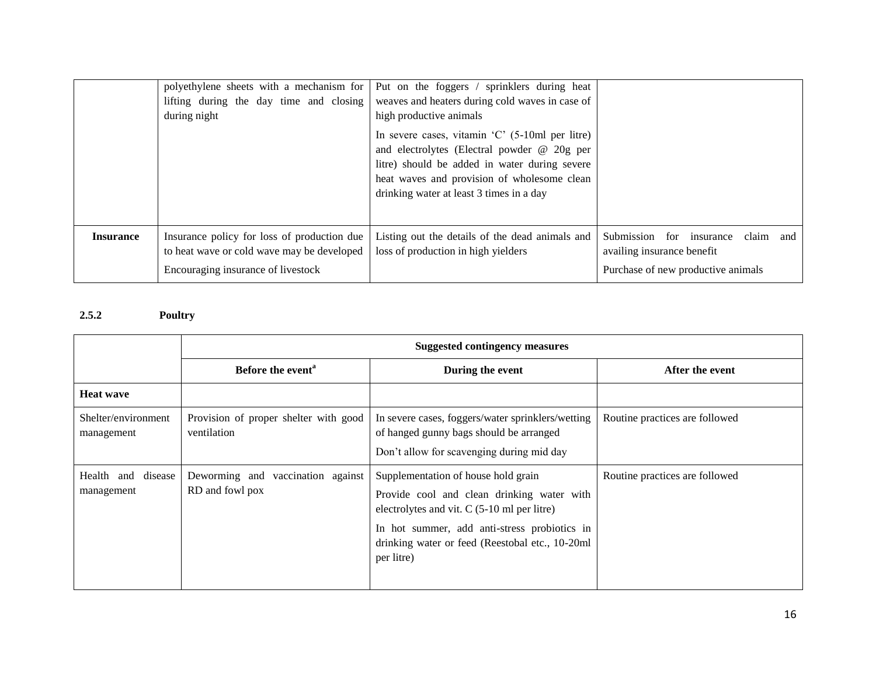|                  | polyethylene sheets with a mechanism for<br>lifting during the day time and closing<br>during night                             | Put on the foggers / sprinklers during heat<br>weaves and heaters during cold waves in case of<br>high productive animals                                                                                                                                      |                                                                                                           |
|------------------|---------------------------------------------------------------------------------------------------------------------------------|----------------------------------------------------------------------------------------------------------------------------------------------------------------------------------------------------------------------------------------------------------------|-----------------------------------------------------------------------------------------------------------|
|                  |                                                                                                                                 | In severe cases, vitamin $^{\circ}$ C $^{\circ}$ (5-10ml per litre)<br>and electrolytes (Electral powder @ 20g per<br>litre) should be added in water during severe<br>heat waves and provision of wholesome clean<br>drinking water at least 3 times in a day |                                                                                                           |
| <b>Insurance</b> | Insurance policy for loss of production due<br>to heat wave or cold wave may be developed<br>Encouraging insurance of livestock | Listing out the details of the dead animals and<br>loss of production in high yielders                                                                                                                                                                         | Submission for insurance<br>claim and<br>availing insurance benefit<br>Purchase of new productive animals |

## **2.5.2 Poultry**

|                                     | <b>Suggested contingency measures</b>                |                                                                                                                                                                                                                                                   |                                |  |
|-------------------------------------|------------------------------------------------------|---------------------------------------------------------------------------------------------------------------------------------------------------------------------------------------------------------------------------------------------------|--------------------------------|--|
|                                     | Before the event <sup>a</sup>                        | During the event                                                                                                                                                                                                                                  | After the event                |  |
| <b>Heat wave</b>                    |                                                      |                                                                                                                                                                                                                                                   |                                |  |
| Shelter/environment<br>management   | Provision of proper shelter with good<br>ventilation | In severe cases, foggers/water sprinklers/wetting<br>of hanged gunny bags should be arranged<br>Don't allow for scavenging during mid day                                                                                                         | Routine practices are followed |  |
| Health<br>and disease<br>management | Deworming and vaccination against<br>RD and fowl pox | Supplementation of house hold grain<br>Provide cool and clean drinking water with<br>electrolytes and vit. C (5-10 ml per litre)<br>In hot summer, add anti-stress probiotics in<br>drinking water or feed (Reestobal etc., 10-20ml<br>per litre) | Routine practices are followed |  |